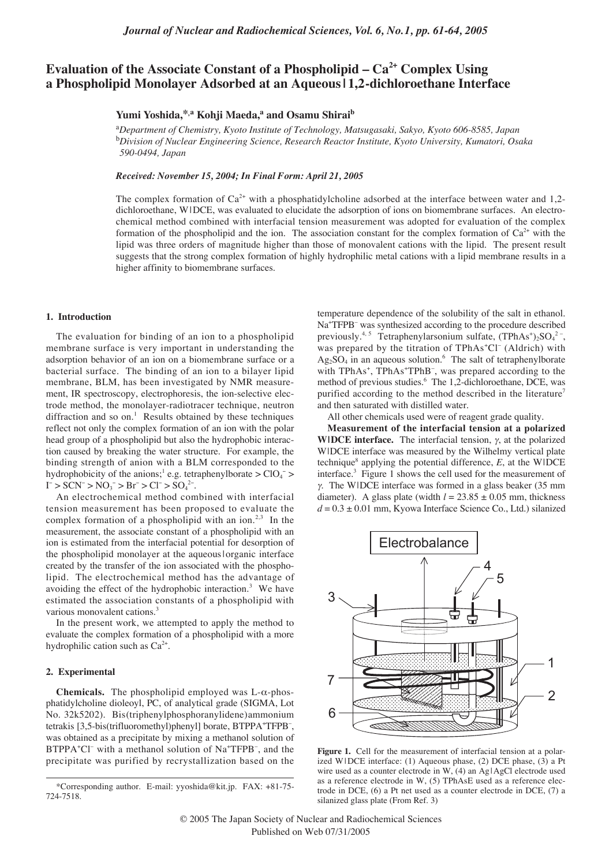# **Evaluation of the Associate Constant of a Phospholipid – Ca2+ Complex Using a Phospholipid Monolayer Adsorbed at an Aqueous | 1,2-dichloroethane Interface**

## Yumi Yoshida,<sup>\*,a</sup> Kohji Maeda,<sup>a</sup> and Osamu Shirai<sup>b</sup>

a *Department of Chemistry, Kyoto Institute of Technology, Matsugasaki, Sakyo, Kyoto 606-8585, Japan* b *Division of Nuclear Engineering Science, Research Reactor Institute, Kyoto University, Kumatori, Osaka 590-0494, Japan*

*Received: November 15, 2004; In Final Form: April 21, 2005*

The complex formation of  $Ca^{2+}$  with a phosphatidylcholine adsorbed at the interface between water and 1,2dichloroethane, W |DCE, was evaluated to elucidate the adsorption of ions on biomembrane surfaces. An electrochemical method combined with interfacial tension measurement was adopted for evaluation of the complex formation of the phospholipid and the ion. The association constant for the complex formation of  $Ca^{2+}$  with the lipid was three orders of magnitude higher than those of monovalent cations with the lipid. The present result suggests that the strong complex formation of highly hydrophilic metal cations with a lipid membrane results in a higher affinity to biomembrane surfaces.

### **1. Introduction**

The evaluation for binding of an ion to a phospholipid membrane surface is very important in understanding the adsorption behavior of an ion on a biomembrane surface or a bacterial surface. The binding of an ion to a bilayer lipid membrane, BLM, has been investigated by NMR measurement, IR spectroscopy, electrophoresis, the ion-selective electrode method, the monolayer-radiotracer technique, neutron diffraction and so on.<sup>1</sup> Results obtained by these techniques reflect not only the complex formation of an ion with the polar head group of a phospholipid but also the hydrophobic interaction caused by breaking the water structure. For example, the binding strength of anion with a BLM corresponded to the hydrophobicity of the anions;<sup>1</sup> e.g. tetraphenylborate >  $ClO_4^-$  >  $I^- > SCN^- > NO_3^- > Br^- > Cl^- > SO_4^{2-}.$ 

An electrochemical method combined with interfacial tension measurement has been proposed to evaluate the complex formation of a phospholipid with an ion.<sup>2,3</sup> In the measurement, the associate constant of a phospholipid with an ion is estimated from the interfacial potential for desorption of the phospholipid monolayer at the aqueous | organic interface created by the transfer of the ion associated with the phospholipid. The electrochemical method has the advantage of avoiding the effect of the hydrophobic interaction.<sup>3</sup> We have estimated the association constants of a phospholipid with various monovalent cations.<sup>3</sup>

In the present work, we attempted to apply the method to evaluate the complex formation of a phospholipid with a more hydrophilic cation such as  $Ca<sup>2+</sup>$ .

### **2. Experimental**

**Chemicals.** The phospholipid employed was L-α-phosphatidylcholine dioleoyl, PC, of analytical grade (SIGMA, Lot No. 32k5202). Bis(triphenylphosphoranylidene)ammonium tetrakis [3,5-bis(trifluoromethyl)phenyl] borate, BTPPA+ TFPB– , was obtained as a precipitate by mixing a methanol solution of BTPPA<sup>+</sup>Cl<sup>-</sup> with a methanol solution of Na<sup>+</sup>TFPB<sup>-</sup>, and the precipitate was purified by recrystallization based on the temperature dependence of the solubility of the salt in ethanol. Na+ TFPB– was synthesized according to the procedure described previously.<sup>4, 5</sup> Tetraphenylarsonium sulfate,  $(TPhAs<sup>+</sup>)<sub>2</sub>SO<sub>4</sub><sup>2-</sup>,$ was prepared by the titration of TPhAs<sup>+</sup>Cl<sup>-</sup> (Aldrich) with  $Ag_2SO_4$  in an aqueous solution.<sup>6</sup> The salt of tetraphenylborate with TPhAs<sup>+</sup>, TPhAs<sup>+</sup>TPhB<sup>-</sup>, was prepared according to the method of previous studies.<sup>6</sup> The 1,2-dichloroethane, DCE, was purified according to the method described in the literature<sup>7</sup> and then saturated with distilled water.

All other chemicals used were of reagent grade quality.

**Measurement of the interfacial tension at a polarized W|DCE interface.** The interfacial tension, γ, at the polarized WIDCE interface was measured by the Wilhelmy vertical plate technique<sup>8</sup> applying the potential difference,  $E$ , at the WIDCE interface.3 Figure 1 shows the cell used for the measurement of <sup>γ</sup>. The W|DCE interface was formed in a glass beaker (35 mm diameter). A glass plate (width  $l = 23.85 \pm 0.05$  mm, thickness  $d = 0.3 \pm 0.01$  mm, Kyowa Interface Science Co., Ltd.) silanized



**Figure 1.** Cell for the measurement of interfacial tension at a polarized W|DCE interface: (1) Aqueous phase, (2) DCE phase, (3) a Pt wire used as a counter electrode in W, (4) an Ag| AgCl electrode used as a reference electrode in W, (5) TPhAsE used as a reference electrode in DCE, (6) a Pt net used as a counter electrode in DCE, (7) a silanized glass plate (From Ref. 3)

<sup>\*</sup>Corresponding author. E-mail: yyoshida@kit.jp. FAX: +81-75- 724-7518.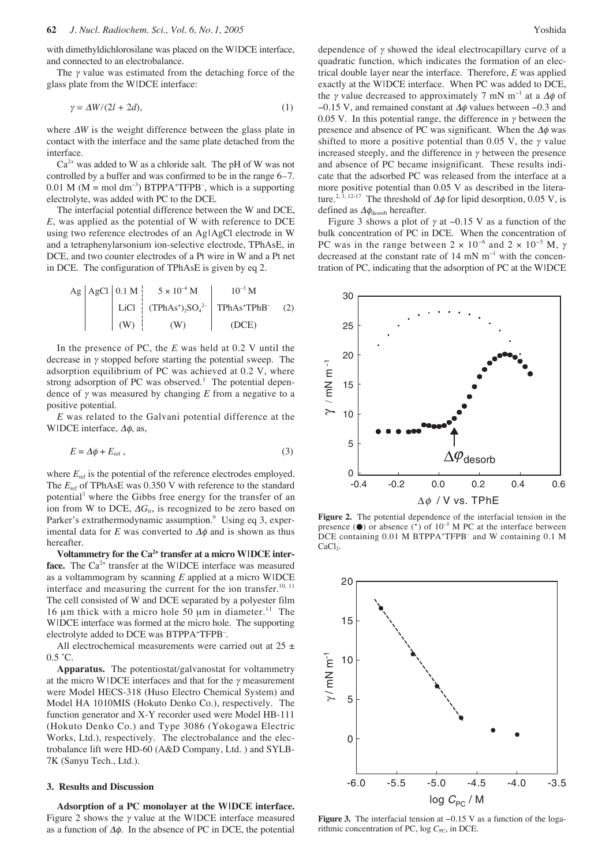with dimethyldichlorosilane was placed on the W|DCE interface, and connected to an electrobalance.

The  $\gamma$  value was estimated from the detaching force of the glass plate from the W|DCE interface:

$$
\gamma = \Delta W/(2l + 2d),\tag{1}
$$

where ∆*W* is the weight difference between the glass plate in contact with the interface and the same plate detached from the interface.

 $Ca<sup>2+</sup>$  was added to W as a chloride salt. The pH of W was not controlled by a buffer and was confirmed to be in the range 6–7. 0.01 M ( $M = \text{mol dm}^{-3}$ ) BTPPA<sup>+</sup>TFPB<sup>-</sup>, which is a supporting electrolyte, was added with PC to the DCE.

The interfacial potential difference between the W and DCE, *E*, was applied as the potential of W with reference to DCE using two reference electrodes of an Ag|AgCl electrode in W and a tetraphenylarsonium ion-selective electrode, TPhAsE, in DCE, and two counter electrodes of a Pt wire in W and a Pt net in DCE. The configuration of TPhAsE is given by eq 2.

Ag 
$$
\left|\begin{array}{c|c} AgCl & 0.1 \text{ M} & 5 \times 10^{-4} \text{ M} \\ \text{LiCl} & (\text{TPhAs}^{\text{*}})_{2}\text{SO}_{4}^{2-} & \text{TPhAs}^{\text{*}}\text{TPhB}^{-} & (2) \\ \text{(W)} & (\text{W}) & (\text{DCE}) \end{array}\right|
$$

In the presence of PC, the *E* was held at 0.2 V until the decrease in  $\gamma$  stopped before starting the potential sweep. The adsorption equilibrium of PC was achieved at 0.2 V, where strong adsorption of PC was observed.<sup>3</sup> The potential dependence of <sup>γ</sup> was measured by changing *E* from a negative to a positive potential.

*E* was related to the Galvani potential difference at the W|DCE interface,  $\Delta \phi$ , as,

$$
E = \Delta \phi + E_{\text{ref}} \,,\tag{3}
$$

where  $E_{\text{ref}}$  is the potential of the reference electrodes employed. The  $E_{\text{ref}}$  of TPhAsE was 0.350 V with reference to the standard potential<sup>3</sup> where the Gibbs free energy for the transfer of an ion from W to DCE,  $\Delta G_u$ , is recognized to be zero based on Parker's extrathermodynamic assumption.<sup>9</sup> Using eq 3, experimental data for  $E$  was converted to  $\Delta\phi$  and is shown as thus hereafter.

Voltammetry for the Ca<sup>2+</sup> transfer at a micro WIDCE interface. The Ca<sup>2+</sup> transfer at the WIDCE interface was measured as a voltammogram by scanning *E* applied at a micro W|DCE interface and measuring the current for the ion transfer.<sup>10, 11</sup> The cell consisted of W and DCE separated by a polyester film 16  $\mu$ m thick with a micro hole 50  $\mu$ m in diameter.<sup>11</sup> The W|DCE interface was formed at the micro hole. The supporting electrolyte added to DCE was BTPPA+TFPB-.

All electrochemical measurements were carried out at  $25 \pm$  $0.5 \text{ }^{\circ}C$ .

**Apparatus.** The potentiostat/galvanostat for voltammetry at the micro W | DCE interfaces and that for the  $\gamma$  measurement were Model HECS-318 (Huso Electro Chemical System) and Model HA 1010MIS (Hokuto Denko Co.), respectively. The function generator and X-Y recorder used were Model HB-111 (Hokuto Denko Co.) and Type 3086 (Yokogawa Electric Works, Ltd.), respectively. The electrobalance and the electrobalance lift were HD-60 (A&D Company, Ltd. ) and SYLB-7K (Sanyu Tech., Ltd.).

#### **3. Results and Discussion**

**Adsorption of a PC monolayer at the W|DCE interface.** Figure 2 shows the  $\gamma$  value at the WIDCE interface measured as a function of  $\Delta \phi$ . In the absence of PC in DCE, the potential dependence of  $\gamma$  showed the ideal electrocapillary curve of a quadratic function, which indicates the formation of an electrical double layer near the interface. Therefore, *E* was applied exactly at the W|DCE interface. When PC was added to DCE, the *γ* value decreased to approximately 7 mN m<sup>-1</sup> at a  $\Delta\phi$  of −0.15 V, and remained constant at ∆φ values between −0.3 and 0.05 V. In this potential range, the difference in  $\gamma$  between the presence and absence of PC was significant. When the  $\Delta\phi$  was shifted to more a positive potential than 0.05 V, the  $\gamma$  value increased steeply, and the difference in  $\gamma$  between the presence and absence of PC became insignificant. These results indicate that the adsorbed PC was released from the interface at a more positive potential than 0.05 V as described in the literature.<sup>2, 3, 12-17</sup> The threshold of  $\Delta\phi$  for lipid desorption, 0.05 V, is defined as  $\Delta\phi_{\text{desorb}}$  hereafter.

Figure 3 shows a plot of  $\gamma$  at  $-0.15$  V as a function of the bulk concentration of PC in DCE. When the concentration of PC was in the range between  $2 \times 10^{-6}$  and  $2 \times 10^{-5}$  M,  $\gamma$ decreased at the constant rate of 14 mN m<sup>−</sup><sup>1</sup> with the concentration of PC, indicating that the adsorption of PC at the W|DCE



**Figure 2.** The potential dependence of the interfacial tension in the presence  $(\bullet)$  or absence  $(\cdot)$  of  $10^{-5}$  M PC at the interface between DCE containing 0.01 M BTPPA+ TFPB– and W containing 0.1 M  $CaCl<sub>2</sub>$ .



**Figure 3.** The interfacial tension at −0.15 V as a function of the logarithmic concentration of PC, log C<sub>PC</sub>, in DCE.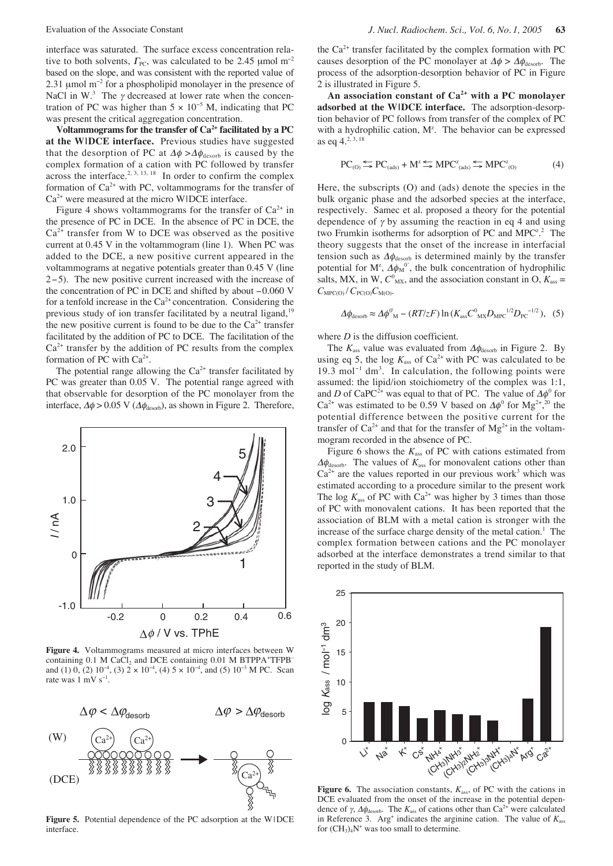interface was saturated. The surface excess concentration relative to both solvents,  $\Gamma_{\text{PC}}$ , was calculated to be 2.45 µmol m<sup>-2</sup> based on the slope, and was consistent with the reported value of 2.31 µmol m<sup>-2</sup> for a phospholipid monolayer in the presence of NaCl in W.<sup>3</sup> The  $\gamma$  decreased at lower rate when the concentration of PC was higher than  $5 \times 10^{-5}$  M, indicating that PC was present the critical aggregation concentration.

**Voltammograms for the transfer of Ca2+ facilitated by a PC at the W|DCE interface.** Previous studies have suggested that the desorption of PC at  $\Delta \phi > \Delta \phi_{\text{desorb}}$  is caused by the complex formation of a cation with PC followed by transfer across the interface.<sup>2, 3, 13, 18</sup> In order to confirm the complex formation of  $Ca^{2+}$  with PC, voltammograms for the transfer of  $Ca<sup>2+</sup>$  were measured at the micro WIDCE interface.

Figure 4 shows voltammograms for the transfer of  $Ca^{2+}$  in the presence of PC in DCE. In the absence of PC in DCE, the  $Ca<sup>2+</sup>$  transfer from W to DCE was observed as the positive current at 0.45 V in the voltammogram (line 1). When PC was added to the DCE, a new positive current appeared in the voltammograms at negative potentials greater than 0.45 V (line 2−5). The new positive current increased with the increase of the concentration of PC in DCE and shifted by about −0.060 V for a tenfold increase in the  $Ca<sup>2+</sup>$  concentration. Considering the previous study of ion transfer facilitated by a neutral ligand, $19$ the new positive current is found to be due to the  $Ca<sup>2+</sup>$  transfer facilitated by the addition of PC to DCE. The facilitation of the  $Ca<sup>2+</sup>$  transfer by the addition of PC results from the complex formation of PC with  $Ca^{2+}$ .

The potential range allowing the  $Ca^{2+}$  transfer facilitated by PC was greater than 0.05 V. The potential range agreed with that observable for desorption of the PC monolayer from the interface,  $\Delta \phi > 0.05$  V ( $\Delta \phi_{\text{desorb}}$ ), as shown in Figure 2. Therefore,



**Figure 4.** Voltammograms measured at micro interfaces between W containing 0.1 M CaCl<sub>2</sub> and DCE containing 0.01 M BTPPA+TFPBand (1) 0, (2)  $10^{-4}$ , (3)  $2 \times 10^{-4}$ , (4)  $5 \times 10^{-4}$ , and (5)  $10^{-3}$  M PC. Scan rate was 1 mV s<sup>−</sup><sup>1</sup> .



Figure 5. Potential dependence of the PC adsorption at the WIDCE interface.

the  $Ca<sup>2+</sup>$  transfer facilitated by the complex formation with PC causes desorption of the PC monolayer at  $\Delta \phi > \Delta \phi_{\text{desorb}}$ . The process of the adsorption-desorption behavior of PC in Figure 2 is illustrated in Figure 5.

**An association constant of Ca2+ with a PC monolayer adsorbed at the W|DCE interface.** The adsorption-desorption behavior of PC follows from transfer of the complex of PC with a hydrophilic cation, M<sup>z</sup>. The behavior can be expressed as eq 4.2, 3, 18

$$
PC_{(0)} \leq PC_{(ads)} + M^2 \leq MPC_{(ads)}^2 \leq MPC_{(0)}^2 \tag{4}
$$

Here, the subscripts (O) and (ads) denote the species in the bulk organic phase and the adsorbed species at the interface, respectively. Samec et al. proposed a theory for the potential dependence of  $\gamma$  by assuming the reaction in eq 4 and using two Frumkin isotherms for adsorption of PC and MPC<sup>z</sup>.<sup>2</sup> The theory suggests that the onset of the increase in interfacial tension such as  $\Delta\phi_{\text{desorb}}$  is determined mainly by the transfer potential for  $M^z$ ,  $\Delta \phi_M^0$ , the bulk concentration of hydrophilic salts, MX, in W,  $C^0_{\text{MX}}$ , and the association constant in O,  $K_{\text{ass}} =$  $C_{\text{MPC(O)}}/C_{\text{PC(O)}}C_{\text{M(O)}}.$ 

$$
\Delta\phi_{\text{desorb}} \approx \Delta\phi_{\text{M}}^0 - (RT/zF) \ln(K_{\text{ass}}C_{\text{MX}}^0 D_{\text{MPC}}^{1/2} D_{\text{PC}}^{-1/2}), \quad (5)
$$

where *D* is the diffusion coefficient.

The  $K_{\text{ass}}$  value was evaluated from  $\Delta\phi_{\text{desorb}}$  in Figure 2. By using eq 5, the log  $K_{\text{ass}}$  of  $Ca^{2+}$  with PC was calculated to be 19.3 mol<sup>-1</sup> dm<sup>3</sup>. In calculation, the following points were assumed: the lipid/ion stoichiometry of the complex was 1:1, and *D* of CaPC<sup>2+</sup> was equal to that of PC. The value of  $\Delta\phi^0$  for Ca<sup>2+</sup> was estimated to be 0.59 V based on  $\Delta\phi^0$  for Mg<sup>2+</sup>,<sup>20</sup> the potential difference between the positive current for the transfer of  $Ca^{2+}$  and that for the transfer of  $Mg^{2+}$  in the voltammogram recorded in the absence of PC.

Figure 6 shows the  $K_{\text{ass}}$  of PC with cations estimated from  $\Delta\phi$ <sub>desorb</sub>. The values of  $K_{\text{ass}}$  for monovalent cations other than  $Ca<sup>2+</sup>$  are the values reported in our previous work<sup>3</sup> which was estimated according to a procedure similar to the present work The log  $K_{\text{ass}}$  of PC with  $Ca^{2+}$  was higher by 3 times than those of PC with monovalent cations. It has been reported that the association of BLM with a metal cation is stronger with the increase of the surface charge density of the metal cation.<sup>1</sup> The complex formation between cations and the PC monolayer adsorbed at the interface demonstrates a trend similar to that reported in the study of BLM.



Figure 6. The association constants,  $K_{\text{ass}}$ , of PC with the cations in DCE evaluated from the onset of the increase in the potential dependence of  $\gamma$ ,  $\Delta\phi$ <sub>desorb</sub>. The  $K_{\text{ass}}$  of cations other than Ca<sup>2+</sup> were calculated in Reference 3. Arg<sup>+</sup> indicates the arginine cation. The value of  $K_{\text{ass}}$ for  $(CH_3)_4N^+$  was too small to determine.